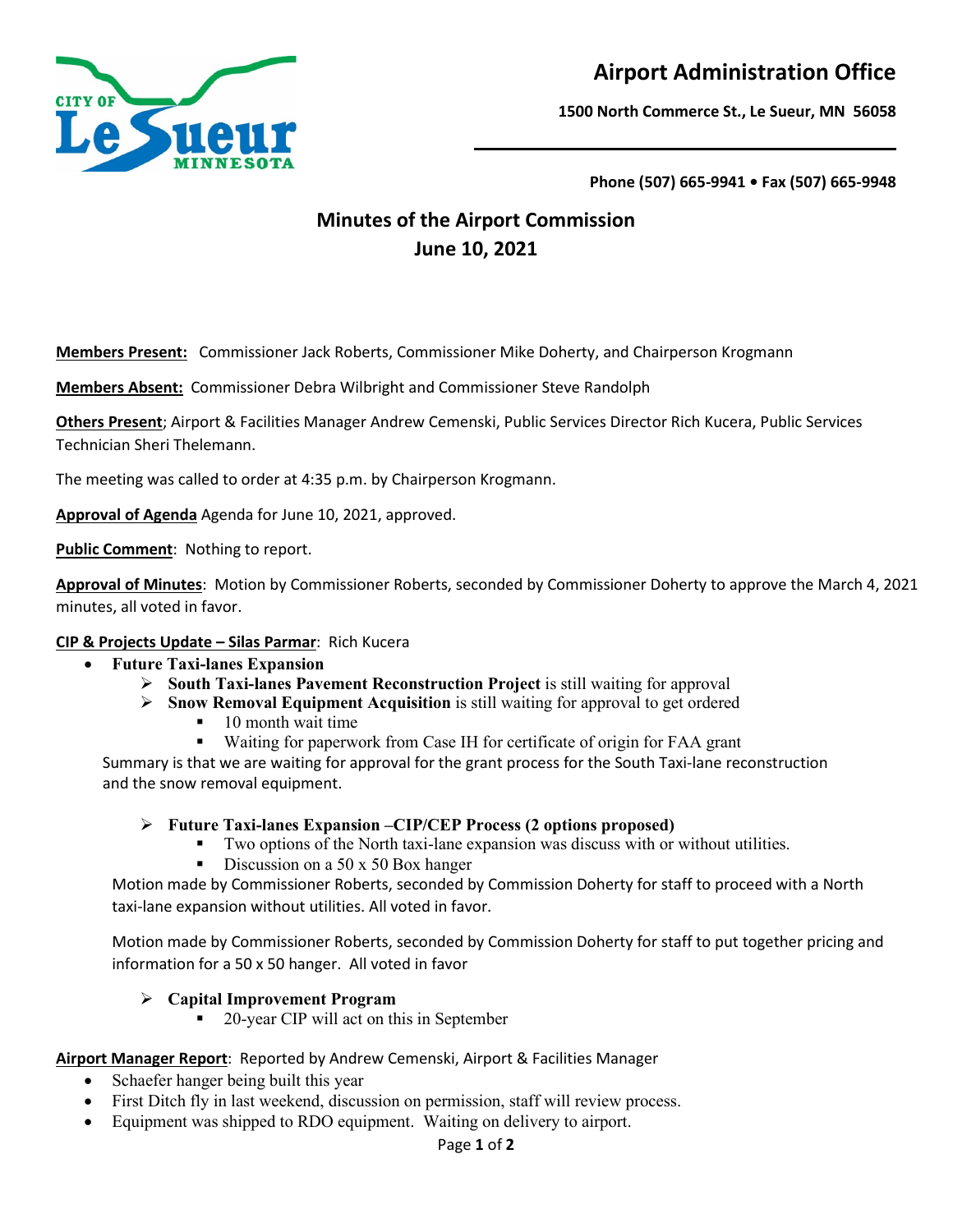

# **Airport Administration Office**

**1500 North Commerce St., Le Sueur, MN 56058**

**Phone (507) 665-9941 • Fax (507) 665-9948**

## **Minutes of the Airport Commission June 10, 2021**

**Members Present:** Commissioner Jack Roberts, Commissioner Mike Doherty, and Chairperson Krogmann

**Members Absent:** Commissioner Debra Wilbright and Commissioner Steve Randolph

**Others Present**; Airport & Facilities Manager Andrew Cemenski, Public Services Director Rich Kucera, Public Services Technician Sheri Thelemann.

The meeting was called to order at 4:35 p.m. by Chairperson Krogmann.

**Approval of Agenda** Agenda for June 10, 2021, approved.

**Public Comment: Nothing to report.** 

**Approval of Minutes**: Motion by Commissioner Roberts, seconded by Commissioner Doherty to approve the March 4, 2021 minutes, all voted in favor.

## **CIP & Projects Update – Silas Parmar**: Rich Kucera

- **Future Taxi-lanes Expansion**
	- **South Taxi-lanes Pavement Reconstruction Project** is still waiting for approval
	- **Snow Removal Equipment Acquisition** is still waiting for approval to get ordered
		- $\blacksquare$  10 month wait time
		- Waiting for paperwork from Case IH for certificate of origin for FAA grant

 Summary is that we are waiting for approval for the grant process for the South Taxi-lane reconstruction and the snow removal equipment.

#### **Future Taxi-lanes Expansion –CIP/CEP Process (2 options proposed)**

- Two options of the North taxi-lane expansion was discuss with or without utilities.
- Discussion on a 50 x 50 Box hanger

Motion made by Commissioner Roberts, seconded by Commission Doherty for staff to proceed with a North taxi-lane expansion without utilities. All voted in favor.

Motion made by Commissioner Roberts, seconded by Commission Doherty for staff to put together pricing and information for a 50 x 50 hanger. All voted in favor

## **Capital Improvement Program**

20-year CIP will act on this in September

#### **Airport Manager Report**: Reported by Andrew Cemenski, Airport & Facilities Manager

- Schaefer hanger being built this year
- First Ditch fly in last weekend, discussion on permission, staff will review process.
- Equipment was shipped to RDO equipment. Waiting on delivery to airport.